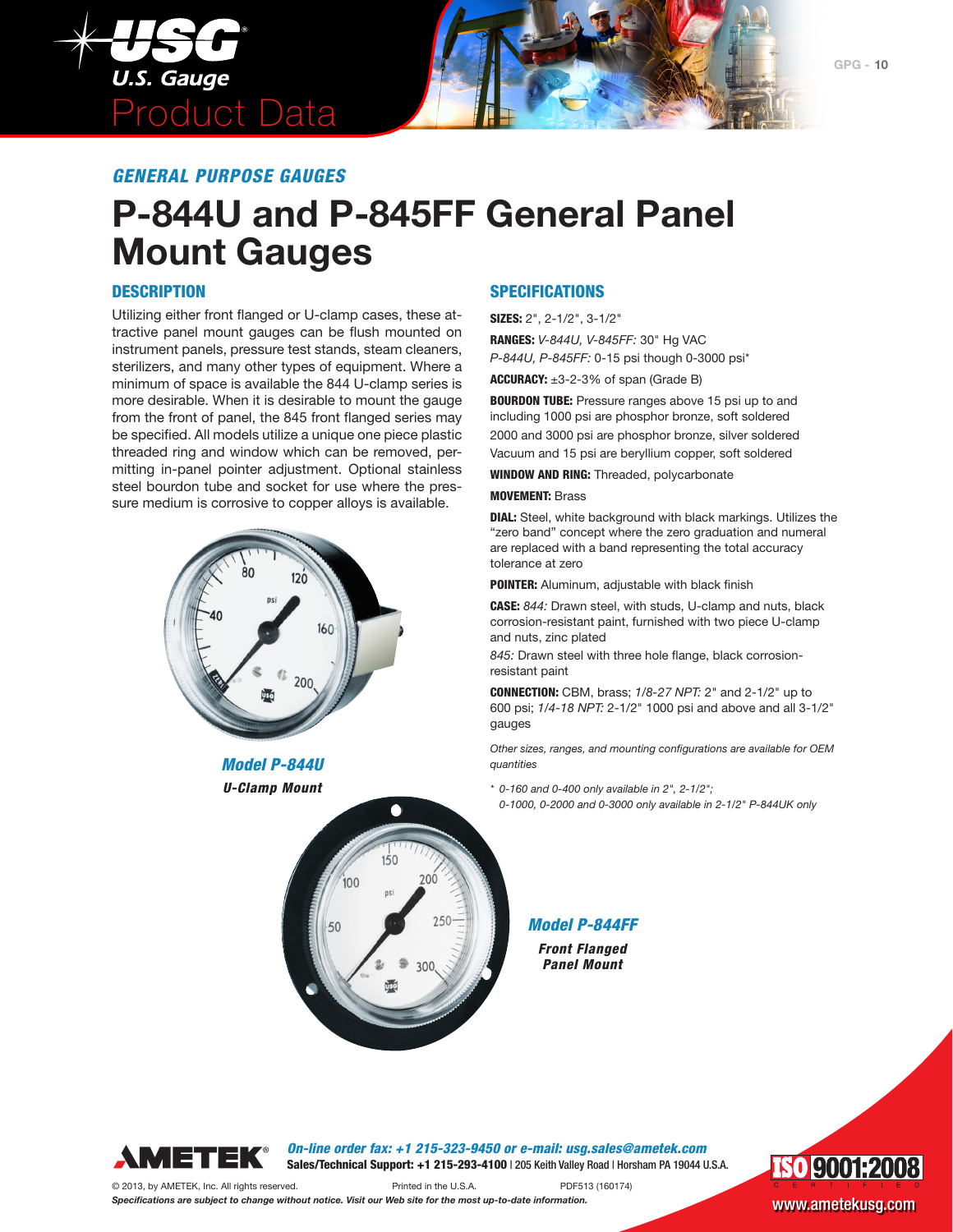

*GENERAL PURPOSE GAUGES*

# **P-844U and P-845FF General Panel Mount Gauges**

### **DESCRIPTION**

Utilizing either front flanged or U-clamp cases, these attractive panel mount gauges can be flush mounted on instrument panels, pressure test stands, steam cleaners, sterilizers, and many other types of equipment. Where a minimum of space is available the 844 U-clamp series is more desirable. When it is desirable to mount the gauge from the front of panel, the 845 front flanged series may be specified. All models utilize a unique one piece plastic threaded ring and window which can be removed, permitting in-panel pointer adjustment. Optional stainless steel bourdon tube and socket for use where the pressure medium is corrosive to copper alloys is available.



*Model P-844U U-Clamp Mount*

### SPECIFICATIONS

SIZES: 2", 2-1/2", 3-1/2"

RANGES: *V-844U, V-845FF:* 30" Hg VAC *P-844U, P-845FF:* 0-15 psi though 0-3000 psi\*

**ACCURACY:**  $\pm 3 - 2 - 3$ % of span (Grade B)

BOURDON TUBE: Pressure ranges above 15 psi up to and including 1000 psi are phosphor bronze, soft soldered 2000 and 3000 psi are phosphor bronze, silver soldered Vacuum and 15 psi are beryllium copper, soft soldered

WINDOW AND RING: Threaded, polycarbonate

#### MOVEMENT: Brass

DIAL: Steel, white background with black markings. Utilizes the "zero band" concept where the zero graduation and numeral are replaced with a band representing the total accuracy tolerance at zero

POINTER: Aluminum, adjustable with black finish

CASE: *844:* Drawn steel, with studs, U-clamp and nuts, black corrosion-resistant paint, furnished with two piece U-clamp and nuts, zinc plated

*845:* Drawn steel with three hole flange, black corrosionresistant paint

CONNECTION: CBM, brass; *1/8-27 NPT:* 2" and 2-1/2" up to 600 psi; *1/4-18 NPT:* 2-1/2" 1000 psi and above and all 3-1/2" gauges

*Other sizes, ranges, and mounting configurations are available for OEM quantities*

*\* 0-160 and 0-400 only available in 2", 2-1/2";* 

*0-1000, 0-2000 and 0-3000 only available in 2-1/2" P-844UK only*

*Model P-844FF*

*Front Flanged Panel Mount*



*On-line order fax: +1 215-323-9450 or e-mail: usg.sales@ametek.com* Sales/Technical Support: +1 215-293-4100 | 205 Keith Valley Road | Horsham PA 19044 U.S.A.

© 2013, by AMETEK, Inc. All rights reserved. Printed in the U.S.A. PDF513 (160174)

 $150$ 

.<br>100

50

**ISO 9001:2008** Specifications are subject to change without notice. Visit our Web site for the most up-to-date information. WWW.ametekusg.com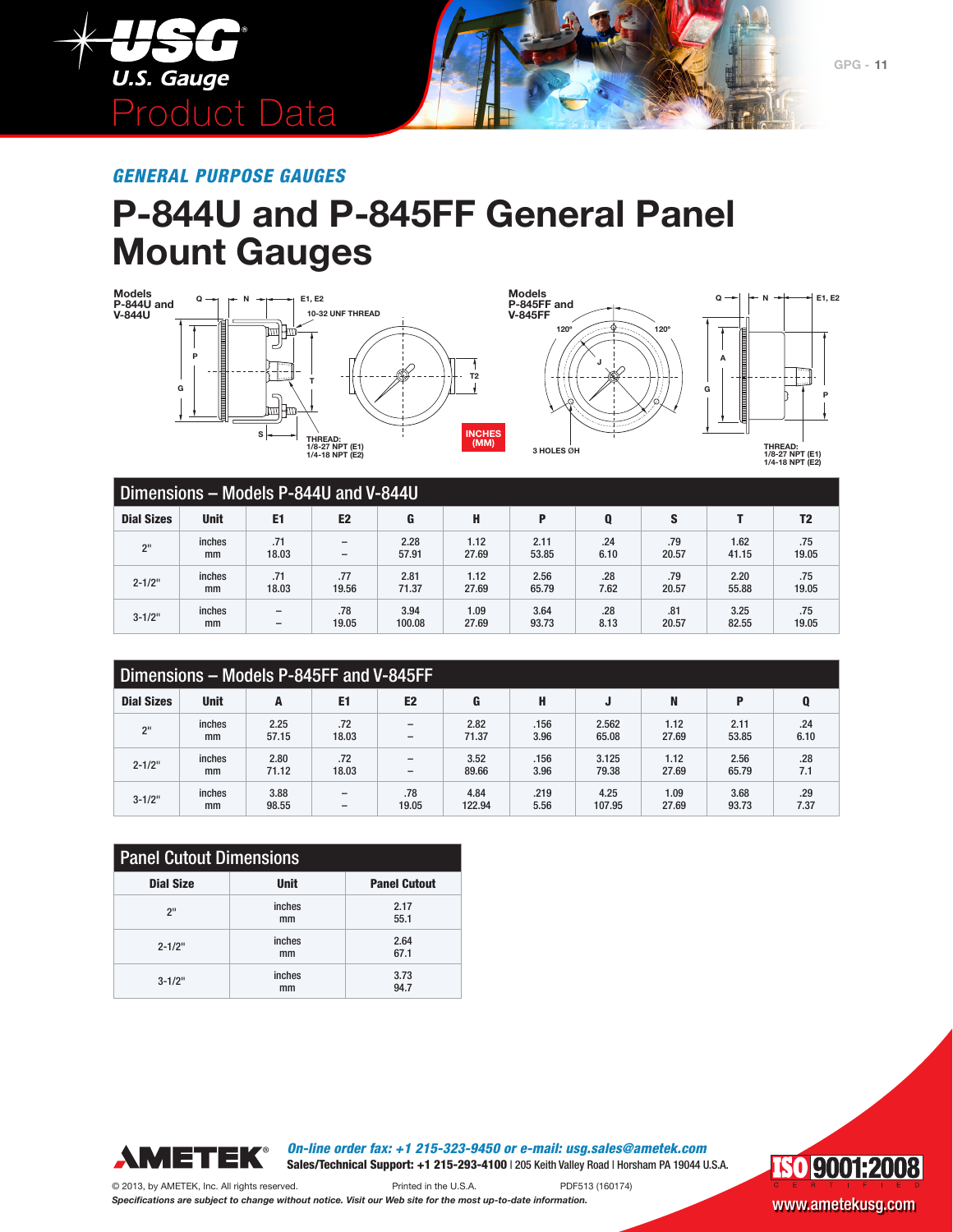

*GENERAL PURPOSE GAUGES*

## **P-844U and P-845FF General Panel Mount Gauges**







| Dimensions - Models P-844U and V-844U |             |                          |                          |        |       |       |      |       |       |                |
|---------------------------------------|-------------|--------------------------|--------------------------|--------|-------|-------|------|-------|-------|----------------|
| <b>Dial Sizes</b>                     | <b>Unit</b> | E <sub>1</sub>           | E <sub>2</sub>           | G      | H     | P     |      | S     |       | T <sub>2</sub> |
| 2 <sup>11</sup>                       | inches      | .71                      | $\overline{\phantom{a}}$ | 2.28   | 1.12  | 2.11  | .24  | .79   | 1.62  | .75            |
|                                       | mm          | 18.03                    | $\overline{\phantom{0}}$ | 57.91  | 27.69 | 53.85 | 6.10 | 20.57 | 41.15 | 19.05          |
| $2 - 1/2"$                            | inches      | .71                      | .77                      | 2.81   | 1.12  | 2.56  | .28  | .79   | 2.20  | .75            |
|                                       | mm          | 18.03                    | 19.56                    | 71.37  | 27.69 | 65.79 | 7.62 | 20.57 | 55.88 | 19.05          |
| $3 - 1/2$ "                           | inches      | $\overline{\phantom{0}}$ | .78                      | 3.94   | 1.09  | 3.64  | .28  | .81   | 3.25  | .75            |
|                                       | mm          | $\overline{\phantom{0}}$ | 19.05                    | 100.08 | 27.69 | 93.73 | 8.13 | 20.57 | 82.55 | 19.05          |

| Dimensions - Models P-845FF and V-845FF |             |       |                              |                          |        |      |        |       |       |      |
|-----------------------------------------|-------------|-------|------------------------------|--------------------------|--------|------|--------|-------|-------|------|
| <b>Dial Sizes</b>                       | <b>Unit</b> | A     | E <sub>1</sub>               | E <sub>2</sub>           | G      | H    | ы      | N     | P     | Q    |
| 2 <sup>11</sup>                         | inches      | 2.25  | .72                          | $\overline{\phantom{a}}$ | 2.82   | .156 | 2.562  | 1.12  | 2.11  | .24  |
|                                         | mm          | 57.15 | 18.03                        | $\overline{\phantom{m}}$ | 71.37  | 3.96 | 65.08  | 27.69 | 53.85 | 6.10 |
| $2 - 1/2"$                              | inches      | 2.80  | .72                          |                          | 3.52   | .156 | 3.125  | 1.12  | 2.56  | .28  |
|                                         | mm          | 71.12 | 18.03                        | $\overline{\phantom{a}}$ | 89.66  | 3.96 | 79.38  | 27.69 | 65.79 | 7.1  |
| $3 - 1/2$ "                             | inches      | 3.88  |                              | .78                      | 4.84   | .219 | 4.25   | 1.09  | 3.68  | .29  |
|                                         | mm          | 98.55 | $\qquad \qquad \blacksquare$ | 19.05                    | 122.94 | 5.56 | 107.95 | 27.69 | 93.73 | 7.37 |

| <b>Panel Cutout Dimensions</b>                         |              |              |  |  |  |  |  |
|--------------------------------------------------------|--------------|--------------|--|--|--|--|--|
| <b>Dial Size</b><br><b>Unit</b><br><b>Panel Cutout</b> |              |              |  |  |  |  |  |
| 2"                                                     | inches<br>mm | 2.17<br>55.1 |  |  |  |  |  |
| $2 - 1/2"$                                             | inches<br>mm | 2.64<br>67.1 |  |  |  |  |  |
| $3 - 1/2$ "                                            | inches<br>mm | 3.73<br>94.7 |  |  |  |  |  |





© 2013, by AMETEK, Inc. All rights reserved. Printed in the U.S.A. PDF513 (160174) *Specifications are subject to change without notice. Visit our Web site for the most up-to-date information.* WWW.ametekusg.com